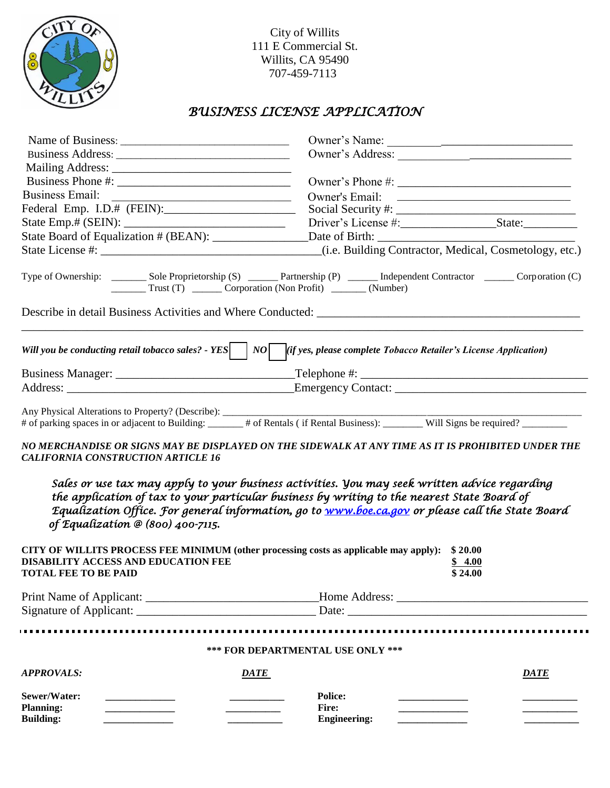

City of Willits 111 E Commercial St. Willits, CA 95490 707-459-7113

# *BUSINESS LICENSE APPLICATION*

| <b>Business Email:</b><br><u> 2002 - Jan James James Jan James James James James James James James James James James James James James James Ja</u>                                                                                                  |                                                                                                                                                                                                                                                                                                                                                                                                                                                                                                                                                                              |
|------------------------------------------------------------------------------------------------------------------------------------------------------------------------------------------------------------------------------------------------------|------------------------------------------------------------------------------------------------------------------------------------------------------------------------------------------------------------------------------------------------------------------------------------------------------------------------------------------------------------------------------------------------------------------------------------------------------------------------------------------------------------------------------------------------------------------------------|
| Federal Emp. I.D.# (FEIN):                                                                                                                                                                                                                           |                                                                                                                                                                                                                                                                                                                                                                                                                                                                                                                                                                              |
|                                                                                                                                                                                                                                                      |                                                                                                                                                                                                                                                                                                                                                                                                                                                                                                                                                                              |
|                                                                                                                                                                                                                                                      |                                                                                                                                                                                                                                                                                                                                                                                                                                                                                                                                                                              |
|                                                                                                                                                                                                                                                      |                                                                                                                                                                                                                                                                                                                                                                                                                                                                                                                                                                              |
|                                                                                                                                                                                                                                                      | Type of Ownership: ________ Sole Proprietorship (S) ______ Partnership (P) ______ Independent Contractor ______ Corporation (C)<br>Trust (T) _______ Corporation (Non Profit) _______ (Number)                                                                                                                                                                                                                                                                                                                                                                               |
|                                                                                                                                                                                                                                                      | Will you be conducting retail tobacco sales? - YES $ NO $ $[if yes, please complete To bacco Retailer's License Application)$                                                                                                                                                                                                                                                                                                                                                                                                                                                |
|                                                                                                                                                                                                                                                      |                                                                                                                                                                                                                                                                                                                                                                                                                                                                                                                                                                              |
|                                                                                                                                                                                                                                                      |                                                                                                                                                                                                                                                                                                                                                                                                                                                                                                                                                                              |
| <b>CALIFORNIA CONSTRUCTION ARTICLE 16</b><br>of Equalization @ (800) 400-7115.<br>CITY OF WILLITS PROCESS FEE MINIMUM (other processing costs as applicable may apply):<br><b>DISABILITY ACCESS AND EDUCATION FEE</b><br><b>TOTAL FEE TO BE PAID</b> | # of parking spaces in or adjacent to Building: ______ # of Rentals (if Rental Business): _______ Will Signs be required? _______<br>NO MERCHANDISE OR SIGNS MAY BE DISPLAYED ON THE SIDEWALK AT ANY TIME AS IT IS PROHIBITED UNDER THE<br>Sales or use tax may apply to your business activities. You may seek written advice regarding<br>the application of tax to your particular business by writing to the nearest State Board of<br>Equalization Office. For general information, go to www.boe.ca.gov or please call the State Board<br>\$20.00<br>\$4.00<br>\$24.00 |
|                                                                                                                                                                                                                                                      |                                                                                                                                                                                                                                                                                                                                                                                                                                                                                                                                                                              |
|                                                                                                                                                                                                                                                      | Date:                                                                                                                                                                                                                                                                                                                                                                                                                                                                                                                                                                        |
|                                                                                                                                                                                                                                                      | *** FOR DEPARTMENTAL USE ONLY ***                                                                                                                                                                                                                                                                                                                                                                                                                                                                                                                                            |
| <b>APPROVALS:</b>                                                                                                                                                                                                                                    | DATE<br><b>DATE</b>                                                                                                                                                                                                                                                                                                                                                                                                                                                                                                                                                          |
| Sewer/Water:<br><b>Planning:</b><br><b>Building:</b>                                                                                                                                                                                                 | <b>Police:</b><br><b>Fire:</b><br><b>Engineering:</b>                                                                                                                                                                                                                                                                                                                                                                                                                                                                                                                        |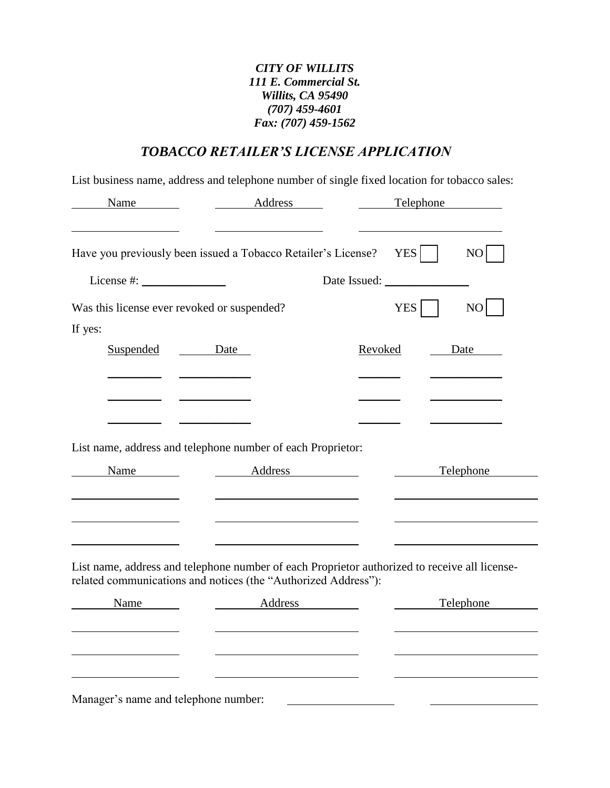### *CITY OF WILLITS 111 E. Commercial St. Willits, CA 95490 (707) 459-4601 Fax: (707) 459-1562*

# *TOBACCO RETAILER'S LICENSE APPLICATION*

List business name, address and telephone number of single fixed location for tobacco sales:

| Name                                                           | Address                    | Telephone                                                                                     |
|----------------------------------------------------------------|----------------------------|-----------------------------------------------------------------------------------------------|
|                                                                |                            |                                                                                               |
| Have you previously been issued a Tobacco Retailer's License?  |                            | <b>YES</b><br>NO                                                                              |
|                                                                |                            |                                                                                               |
| Was this license ever revoked or suspended?                    |                            | YES <sup> </sup><br>NO                                                                        |
| If yes:                                                        |                            |                                                                                               |
| Suspended                                                      | Date                       | Revoked<br>Date                                                                               |
|                                                                |                            |                                                                                               |
|                                                                |                            |                                                                                               |
|                                                                |                            |                                                                                               |
| List name, address and telephone number of each Proprietor:    |                            |                                                                                               |
| Name                                                           | Address Management Address | <b>Telephone</b>                                                                              |
|                                                                |                            |                                                                                               |
|                                                                |                            |                                                                                               |
|                                                                |                            |                                                                                               |
| related communications and notices (the "Authorized Address"): |                            | List name, address and telephone number of each Proprietor authorized to receive all license- |
| Name                                                           | Address                    | Telephone                                                                                     |
|                                                                |                            |                                                                                               |
|                                                                |                            |                                                                                               |
|                                                                |                            |                                                                                               |
| Manager's name and telephone number:                           |                            |                                                                                               |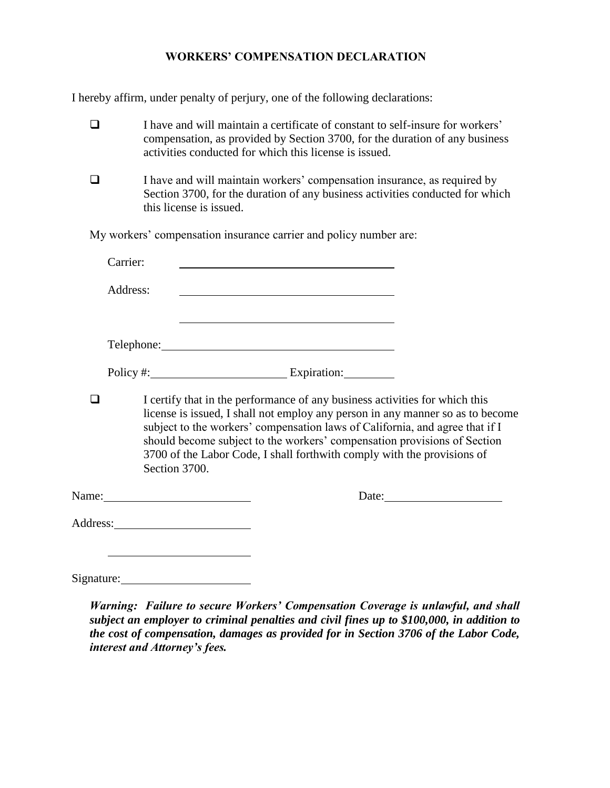#### **WORKERS' COMPENSATION DECLARATION**

I hereby affirm, under penalty of perjury, one of the following declarations:

- $\Box$  I have and will maintain a certificate of constant to self-insure for workers' compensation, as provided by Section 3700, for the duration of any business activities conducted for which this license is issued.
- $\Box$  I have and will maintain workers' compensation insurance, as required by Section 3700, for the duration of any business activities conducted for which this license is issued.

My workers' compensation insurance carrier and policy number are:

|            | Carrier: |               |                                                                                                                                                        |                                                                                                                                                                                                                                            |
|------------|----------|---------------|--------------------------------------------------------------------------------------------------------------------------------------------------------|--------------------------------------------------------------------------------------------------------------------------------------------------------------------------------------------------------------------------------------------|
|            | Address: |               |                                                                                                                                                        |                                                                                                                                                                                                                                            |
|            |          |               |                                                                                                                                                        |                                                                                                                                                                                                                                            |
|            |          |               | Policy #: Expiration:                                                                                                                                  |                                                                                                                                                                                                                                            |
|            |          | Section 3700. | I certify that in the performance of any business activities for which this<br>3700 of the Labor Code, I shall forthwith comply with the provisions of | license is issued, I shall not employ any person in any manner so as to become<br>subject to the workers' compensation laws of California, and agree that if I<br>should become subject to the workers' compensation provisions of Section |
|            |          |               |                                                                                                                                                        | Date:                                                                                                                                                                                                                                      |
|            |          |               |                                                                                                                                                        |                                                                                                                                                                                                                                            |
| Signature: |          |               |                                                                                                                                                        |                                                                                                                                                                                                                                            |

*Warning: Failure to secure Workers' Compensation Coverage is unlawful, and shall subject an employer to criminal penalties and civil fines up to \$100,000, in addition to the cost of compensation, damages as provided for in Section 3706 of the Labor Code, interest and Attorney's fees.*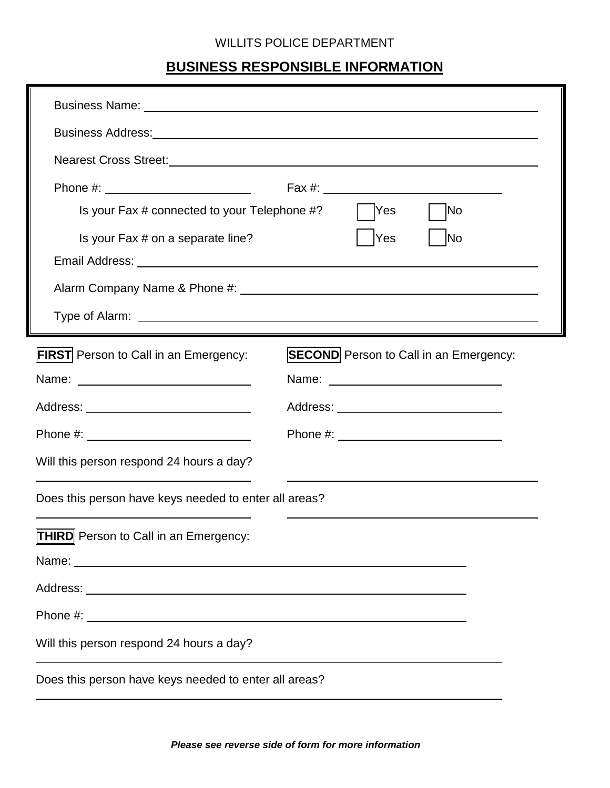## WILLITS POLICE DEPARTMENT

# **BUSINESS RESPONSIBLE INFORMATION**

| Is your Fax # connected to your Telephone #?                                                                                                                                                                                  | No<br>Yes                                     |  |
|-------------------------------------------------------------------------------------------------------------------------------------------------------------------------------------------------------------------------------|-----------------------------------------------|--|
| Is your Fax # on a separate line?<br>Yes<br>lNo                                                                                                                                                                               |                                               |  |
|                                                                                                                                                                                                                               |                                               |  |
|                                                                                                                                                                                                                               |                                               |  |
| <b>FIRST</b> Person to Call in an Emergency:                                                                                                                                                                                  | <b>SECOND</b> Person to Call in an Emergency: |  |
|                                                                                                                                                                                                                               |                                               |  |
|                                                                                                                                                                                                                               |                                               |  |
|                                                                                                                                                                                                                               |                                               |  |
| Will this person respond 24 hours a day?                                                                                                                                                                                      |                                               |  |
| Does this person have keys needed to enter all areas?                                                                                                                                                                         |                                               |  |
| <b>THIRD</b> Person to Call in an Emergency:                                                                                                                                                                                  |                                               |  |
| Name: Name: Name: Name: Name: Name: Name: Name: Name: Name: Name: Name: Name: Name: Name: Name: Name: Name: Name: Name: Name: Name: Name: Name: Name: Name: Name: Name: Name: Name: Name: Name: Name: Name: Name: Name: Name: |                                               |  |
|                                                                                                                                                                                                                               |                                               |  |
|                                                                                                                                                                                                                               |                                               |  |
| Will this person respond 24 hours a day?                                                                                                                                                                                      |                                               |  |
| Does this person have keys needed to enter all areas?                                                                                                                                                                         |                                               |  |